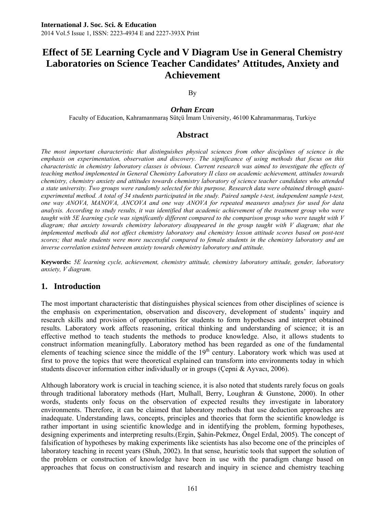#### By

# *Orhan Ercan*

Faculty of Education, Kahramanmaraş Sütçü İmam University, 46100 Kahramanmaraş, Turkiye

# **Abstract**

*The most important characteristic that distinguishes physical sciences from other disciplines of science is the emphasis on experimentation, observation and discovery. The significance of using methods that focus on this characteristic in chemistry laboratory classes is obvious. Current research was aimed to investigate the effects of teaching method implemented in General Chemistry Laboratory II class on academic achievement, attitudes towards chemistry, chemistry anxiety and attitudes towards chemistry laboratory of science teacher candidates who attended a state university. Two groups were randomly selected for this purpose. Research data were obtained through quasiexperimental method. A total of 34 students participated in the study. Paired sample t-test, independent sample t-test, one way ANOVA, MANOVA, ANCOVA and one way ANOVA for repeated measures analyses for used for data analysis. According to study results, it was identified that academic achievement of the treatment group who were taught with 5E learning cycle was significantly different compared to the comparison group who were taught with V diagram; that anxiety towards chemistry laboratory disappeared in the group taught with V diagram; that the implemented methods did not affect chemistry laboratory and chemistry lesson attitude scores based on post-test scores; that male students were more successful compared to female students in the chemistry laboratory and an inverse correlation existed between anxiety towards chemistry laboratory and attitude.* 

**Keywords:** *5E learning cycle, achievement, chemistry attitude, chemistry laboratory attitude, gender, laboratory anxiety, V diagram.*

# **1. Introduction**

The most important characteristic that distinguishes physical sciences from other disciplines of science is the emphasis on experimentation, observation and discovery, development of students' inquiry and research skills and provision of opportunities for students to form hypotheses and interpret obtained results. Laboratory work affects reasoning, critical thinking and understanding of science; it is an effective method to teach students the methods to produce knowledge. Also, it allows students to construct information meaningfully. Laboratory method has been regarded as one of the fundamental elements of teaching science since the middle of the  $19<sup>th</sup>$  century. Laboratory work which was used at first to prove the topics that were theoretical explained can transform into environments today in which students discover information either individually or in groups (Cepni  $\&$  Ayvacı, 2006).

Although laboratory work is crucial in teaching science, it is also noted that students rarely focus on goals through traditional laboratory methods (Hart, Mulhall, Berry, Loughran & Gunstone, 2000). In other words, students only focus on the observation of expected results they investigate in laboratory environments. Therefore, it can be claimed that laboratory methods that use deduction approaches are inadequate. Understanding laws, concepts, principles and theories that form the scientific knowledge is rather important in using scientific knowledge and in identifying the problem, forming hypotheses, designing experiments and interpreting results.(Ergin, Şahin-Pekmez, Öngel Erdal, 2005). The concept of falsification of hypotheses by making experiments like scientists has also become one of the principles of laboratory teaching in recent years (Shuh, 2002). In that sense, heuristic tools that support the solution of the problem or construction of knowledge have been in use with the paradigm change based on approaches that focus on constructivism and research and inquiry in science and chemistry teaching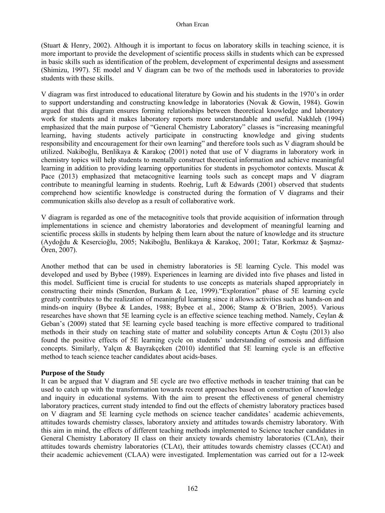(Stuart & Henry, 2002). Although it is important to focus on laboratory skills in teaching science, it is more important to provide the development of scientific process skills in students which can be expressed in basic skills such as identification of the problem, development of experimental designs and assessment (Shimizu, 1997). 5E model and V diagram can be two of the methods used in laboratories to provide students with these skills.

V diagram was first introduced to educational literature by Gowin and his students in the 1970's in order to support understanding and constructing knowledge in laboratories (Novak & Gowin, 1984). Gowin argued that this diagram ensures forming relationships between theoretical knowledge and laboratory work for students and it makes laboratory reports more understandable and useful. Nakhleh (1994) emphasized that the main purpose of "General Chemistry Laboratory" classes is "increasing meaningful learning, having students actively participate in constructing knowledge and giving students responsibility and encouragement for their own learning" and therefore tools such as V diagram should be utilized. Nakiboğlu, Benlikaya & Karakoç (2001) noted that use of V diagrams in laboratory work in chemistry topics will help students to mentally construct theoretical information and achieve meaningful learning in addition to providing learning opportunities for students in psychomotor contexts. Muscat  $\&$ Pace (2013) emphasized that metacognitive learning tools such as concept maps and V diagram contribute to meaningful learning in students. Roehrig, Luft  $\&$  Edwards (2001) observed that students comprehend how scientific knowledge is constructed during the formation of V diagrams and their communication skills also develop as a result of collaborative work.

V diagram is regarded as one of the metacognitive tools that provide acquisition of information through implementations in science and chemistry laboratories and development of meaningful learning and scientific process skills in students by helping them learn about the nature of knowledge and its structure (Aydoğdu & Kesercioğlu, 2005; Nakiboğlu, Benlikaya & Karakoç, 2001; Tatar, Korkmaz & Şaşmaz-Ören, 2007).

Another method that can be used in chemistry laboratories is 5E learning Cycle. This model was developed and used by Bybee (1989). Experiences in learning are divided into five phases and listed in this model. Sufficient time is crucial for students to use concepts as materials shaped appropriately in constructing their minds (Smerdon, Burkam & Lee, 1999)."Exploration" phase of 5E learning cycle greatly contributes to the realization of meaningful learning since it allows activities such as hands-on and minds-on inquiry (Bybee & Landes, 1988; Bybee et al., 2006; Stamp & O'Brien, 2005). Various researches have shown that 5E learning cycle is an effective science teaching method. Namely, Ceylan  $\&$ Geban's (2009) stated that 5E learning cycle based teaching is more effective compared to traditional methods in their study on teaching state of matter and solubility concepts Artun & Costu (2013) also found the positive effects of 5E learning cycle on students' understanding of osmosis and diffusion concepts. Similarly, Yalçın & Bayrakçeken (2010) identified that 5E learning cycle is an effective method to teach science teacher candidates about acids-bases.

## **Purpose of the Study**

It can be argued that V diagram and 5E cycle are two effective methods in teacher training that can be used to catch up with the transformation towards recent approaches based on construction of knowledge and inquiry in educational systems. With the aim to present the effectiveness of general chemistry laboratory practices, current study intended to find out the effects of chemistry laboratory practices based on V diagram and 5E learning cycle methods on science teacher candidates' academic achievements, attitudes towards chemistry classes, laboratory anxiety and attitudes towards chemistry laboratory. With this aim in mind, the effects of different teaching methods implemented to Science teacher candidates in General Chemistry Laboratory II class on their anxiety towards chemistry laboratories (CLAn), their attitudes towards chemistry laboratories (CLAt), their attitudes towards chemistry classes (CCAt) and their academic achievement (CLAA) were investigated. Implementation was carried out for a 12-week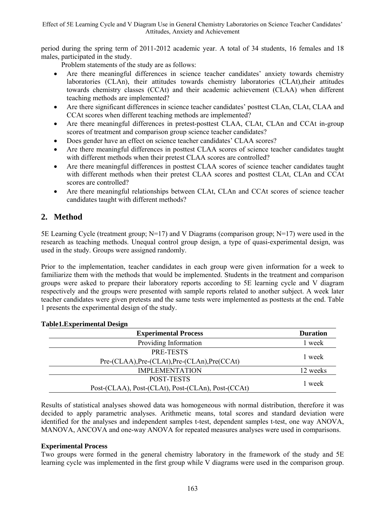period during the spring term of 2011-2012 academic year. A total of 34 students, 16 females and 18 males, participated in the study.

Problem statements of the study are as follows:

- Are there meaningful differences in science teacher candidates' anxiety towards chemistry laboratories (CLAn), their attitudes towards chemistry laboratories (CLAt), their attitudes towards chemistry classes (CCAt) and their academic achievement (CLAA) when different teaching methods are implemented?
- Are there significant differences in science teacher candidates' posttest CLAn, CLAt, CLAA and CCAt scores when different teaching methods are implemented?
- Are there meaningful differences in pretest-posttest CLAA, CLAt, CLAn and CCAt in-group scores of treatment and comparison group science teacher candidates?
- Does gender have an effect on science teacher candidates' CLAA scores?
- Are there meaningful differences in posttest CLAA scores of science teacher candidates taught with different methods when their pretest CLAA scores are controlled?
- Are there meaningful differences in posttest CLAA scores of science teacher candidates taught with different methods when their pretest CLAA scores and posttest CLAt, CLAn and CCAt scores are controlled?
- Are there meaningful relationships between CLAt, CLAn and CCAt scores of science teacher candidates taught with different methods?

# **2. Method**

5E Learning Cycle (treatment group; N=17) and V Diagrams (comparison group; N=17) were used in the research as teaching methods. Unequal control group design, a type of quasi-experimental design, was used in the study. Groups were assigned randomly.

Prior to the implementation, teacher candidates in each group were given information for a week to familiarize them with the methods that would be implemented. Students in the treatment and comparison groups were asked to prepare their laboratory reports according to 5E learning cycle and V diagram respectively and the groups were presented with sample reports related to another subject. A week later teacher candidates were given pretests and the same tests were implemented as posttests at the end. Table 1 presents the experimental design of the study.

| <b>Experimental Process</b>                        | <b>Duration</b> |
|----------------------------------------------------|-----------------|
| Providing Information                              | 1 week          |
| PRE-TESTS                                          |                 |
| Pre-(CLAA), Pre-(CLAt), Pre-(CLAn), Pre(CCAt)      | 1 week          |
| <b>IMPLEMENTATION</b>                              | 12 weeks        |
| POST-TESTS                                         |                 |
| Post-(CLAA), Post-(CLAt), Post-(CLAn), Post-(CCAt) | 1 week          |

# **Table1.Experimental Design**

Results of statistical analyses showed data was homogeneous with normal distribution, therefore it was decided to apply parametric analyses. Arithmetic means, total scores and standard deviation were identified for the analyses and independent samples t-test, dependent samples t-test, one way ANOVA, MANOVA, ANCOVA and one-way ANOVA for repeated measures analyses were used in comparisons.

# **Experimental Process**

Two groups were formed in the general chemistry laboratory in the framework of the study and 5E learning cycle was implemented in the first group while V diagrams were used in the comparison group.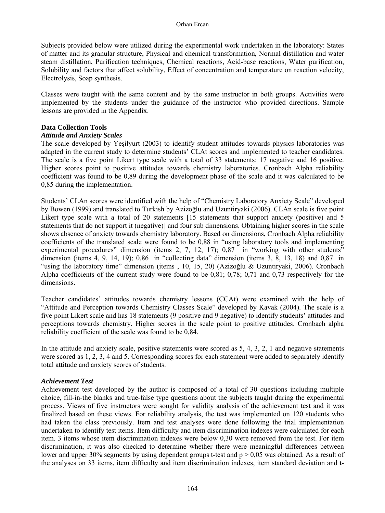Subjects provided below were utilized during the experimental work undertaken in the laboratory: States of matter and its granular structure, Physical and chemical transformation, Normal distillation and water steam distillation, Purification techniques, Chemical reactions, Acid-base reactions, Water purification, Solubility and factors that affect solubility, Effect of concentration and temperature on reaction velocity, Electrolysis, Soap synthesis.

Classes were taught with the same content and by the same instructor in both groups. Activities were implemented by the students under the guidance of the instructor who provided directions. Sample lessons are provided in the Appendix.

# **Data Collection Tools**

# *Attitude and Anxiety Scales*

The scale developed by Yeşilyurt (2003) to identify student attitudes towards physics laboratories was adapted in the current study to determine students' CLAt scores and implemented to teacher candidates. The scale is a five point Likert type scale with a total of 33 statements: 17 negative and 16 positive. Higher scores point to positive attitudes towards chemistry laboratories. Cronbach Alpha reliability coefficient was found to be 0,89 during the development phase of the scale and it was calculated to be 0,85 during the implementation.

Students' CLAn scores were identified with the help of "Chemistry Laboratory Anxiety Scale" developed by Bowen (1999) and translated to Turkish by Azizoğlu and Uzuntiryaki (2006). CLAn scale is five point Likert type scale with a total of 20 statements [15 statements that support anxiety (positive) and 5 statements that do not support it (negative)] and four sub dimensions. Obtaining higher scores in the scale shows absence of anxiety towards chemistry laboratory. Based on dimensions, Cronbach Alpha reliability coefficients of the translated scale were found to be 0,88 in "using laboratory tools and implementing experimental procedures" dimension (items 2, 7, 12, 17); 0,87 in "working with other students" dimension (items  $4, 9, 14, 19$ );  $0,86$  in "collecting data" dimension (items  $3, 8, 13, 18$ ) and  $0,87$  in "using the laboratory time" dimension (items , 10, 15, 20) (Azizoğlu & Uzuntiryaki, 2006). Cronbach Alpha coefficients of the current study were found to be 0,81; 0,78; 0,71 and 0,73 respectively for the dimensions.

Teacher candidates' attitudes towards chemistry lessons (CCAt) were examined with the help of "Attitude and Perception towards Chemistry Classes Scale" developed by Kavak (2004). The scale is a five point Likert scale and has 18 statements (9 positive and 9 negative) to identify students' attitudes and perceptions towards chemistry. Higher scores in the scale point to positive attitudes. Cronbach alpha reliability coefficient of the scale was found to be 0,84.

In the attitude and anxiety scale, positive statements were scored as 5, 4, 3, 2, 1 and negative statements were scored as 1, 2, 3, 4 and 5. Corresponding scores for each statement were added to separately identify total attitude and anxiety scores of students.

## *Achievement Test*

Achievement test developed by the author is composed of a total of 30 questions including multiple choice, fill-in-the blanks and true-false type questions about the subjects taught during the experimental process. Views of five instructors were sought for validity analysis of the achievement test and it was finalized based on these views. For reliability analysis, the test was implemented on 120 students who had taken the class previously. Item and test analyses were done following the trial implementation undertaken to identify test items. Item difficulty and item discrimination indexes were calculated for each item. 3 items whose item discrimination indexes were below 0,30 were removed from the test. For item discrimination, it was also checked to determine whether there were meaningful differences between lower and upper 30% segments by using dependent groups t-test and  $p > 0.05$  was obtained. As a result of the analyses on 33 items, item difficulty and item discrimination indexes, item standard deviation and t-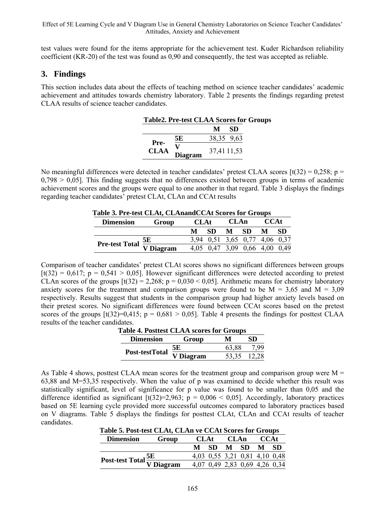test values were found for the items appropriate for the achievement test. Kuder Richardson reliability coefficient (KR-20) of the test was found as 0,90 and consequently, the test was accepted as reliable.

# **3. Findings**

This section includes data about the effects of teaching method on science teacher candidates' academic achievement and attitudes towards chemistry laboratory. Table 2 presents the findings regarding pretest CLAA results of science teacher candidates.

| <b>Table2. Pre-test CLAA Scores for Groups</b> |              |             |     |  |  |  |
|------------------------------------------------|--------------|-------------|-----|--|--|--|
|                                                |              | М           | -SD |  |  |  |
|                                                | 5Е           | 38,35 9.63  |     |  |  |  |
| Pre-<br><b>CLAA</b>                            | v<br>Diagram | 37,41 11,53 |     |  |  |  |

No meaningful differences were detected in teacher candidates' pretest CLAA scores [t(32) = 0,258; p =  $0,798 > 0,05$ . This finding suggests that no differences existed between groups in terms of academic achievement scores and the groups were equal to one another in that regard. Table 3 displays the findings regarding teacher candidates' pretest CLAt, CLAn and CCAt results

| Fable 3. Pre-test CLAt, CLAnandCCAt Scores for Groups                                         |       |             |                               |                |     |             |      |  |
|-----------------------------------------------------------------------------------------------|-------|-------------|-------------------------------|----------------|-----|-------------|------|--|
| <b>Dimension</b>                                                                              | Group | <b>CLAt</b> |                               | <b>CLAn</b>    |     | <b>CCAt</b> |      |  |
|                                                                                               |       | М           | SD.                           | M <sub>1</sub> | -SD | M           | - SD |  |
| $\overline{\text{Pre-test Total}}$ $\frac{\overline{\text{SE}}}{\overline{\text{V Diagram}}}$ |       |             | 3,94 0,51 3,65 0,77 4,06 0,37 |                |     |             |      |  |
|                                                                                               |       |             | 4,05 0,47 3,09 0,66 4,00 0,49 |                |     |             |      |  |

# **Table 3. Pre-test CLAt, CLAnandCCAt Scores for Groups**

Comparison of teacher candidates' pretest CLAt scores shows no significant differences between groups  $[t(32) = 0.617$ ;  $p = 0.541 > 0.05$ . However significant differences were detected according to pretest CLAn scores of the groups  $[t(32) = 2,268; p = 0,030 < 0,05]$ . Arithmetic means for chemistry laboratory anxiety scores for the treatment and comparison groups were found to be  $M = 3{,}65$  and  $M = 3{,}09$ respectively. Results suggest that students in the comparison group had higher anxiety levels based on their pretest scores. No significant differences were found between CCAt scores based on the pretest scores of the groups  $[t(32)=0,415; p = 0,681 > 0,05]$ . Table 4 presents the findings for posttest CLAA results of the teacher candidates.

| Table 4. Posttest CLAA scores for Groups |                  |           |       |       |  |
|------------------------------------------|------------------|-----------|-------|-------|--|
|                                          | <b>Dimension</b> | Group     | м     | SD.   |  |
|                                          | Post-testTotal   | 5Е        | 63,88 | 7.99  |  |
|                                          |                  | V Diagram | 53.35 | 12.28 |  |

As Table 4 shows, posttest CLAA mean scores for the treatment group and comparison group were  $M =$ 63,88 and M=53,35 respectively. When the value of p was examined to decide whether this result was statistically significant, level of significance for p value was found to be smaller than 0,05 and the difference identified as significant  $\lceil t(32)=2,963; p = 0,006 \le 0,05 \rceil$ . Accordingly, laboratory practices based on 5E learning cycle provided more successful outcomes compared to laboratory practices based on V diagrams. Table 5 displays the findings for posttest CLAt, CLAn and CCAt results of teacher candidates.  **Table 5. Post-test CLAt, CLAn ve CCAt Scores for Groups** 

| Table 5. Post-test CLAt, CLAn ve CCAt Scores for Groups |       |  |           |  |  |                               |             |  |  |
|---------------------------------------------------------|-------|--|-----------|--|--|-------------------------------|-------------|--|--|
| <b>Dimension</b>                                        | Group |  | CLAt CLAn |  |  |                               | <b>CCAt</b> |  |  |
|                                                         |       |  | M SD M SD |  |  | M SD                          |             |  |  |
|                                                         |       |  |           |  |  | 4,03 0,55 3,21 0,81 4,10 0,48 |             |  |  |
| Post-test Total $\frac{5E}{V}$ Diagram                  |       |  |           |  |  | 4,07 0,49 2,83 0,69 4,26 0,34 |             |  |  |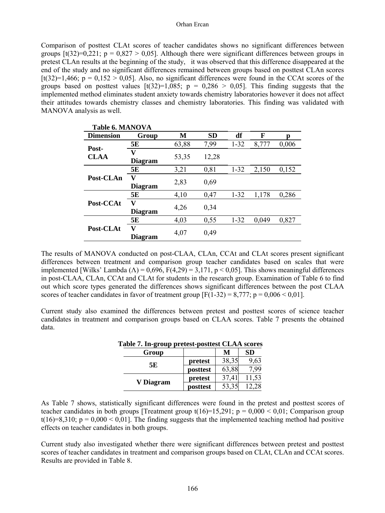#### Orhan Ercan

Comparison of posttest CLAt scores of teacher candidates shows no significant differences between groups  $[t(32)=0.221; p = 0.827 > 0.05]$ . Although there were significant differences between groups in pretest CLAn results at the beginning of the study, it was observed that this difference disappeared at the end of the study and no significant differences remained between groups based on posttest CLAn scores  $[t(32)=1,466; p = 0,152 > 0,05]$ . Also, no significant differences were found in the CCAt scores of the groups based on posttest values  $[t(32)=1,085; p = 0,286 > 0,05]$ . This finding suggests that the implemented method eliminates student anxiety towards chemistry laboratories however it does not affect their attitudes towards chemistry classes and chemistry laboratories. This finding was validated with MANOVA analysis as well.

| <b>Table 6. MANOVA</b> |                     |       |           |          |       |       |
|------------------------|---------------------|-------|-----------|----------|-------|-------|
| <b>Dimension</b>       | Group               | M     | <b>SD</b> | df       | F     | n     |
|                        | 5Е                  | 63,88 | 7,99      | $1 - 32$ | 8,777 | 0,006 |
| Post-<br><b>CLAA</b>   | V<br><b>Diagram</b> | 53,35 | 12,28     |          |       |       |
| Post-CLAn              | 5E                  | 3,21  | 0,81      | $1 - 32$ | 2,150 | 0,152 |
|                        | V<br><b>Diagram</b> | 2,83  | 0.69      |          |       |       |
|                        | 5E                  | 4,10  | 0.47      | $1 - 32$ | 1,178 | 0,286 |
| Post-CCAt              | V<br><b>Diagram</b> | 4,26  | 0,34      |          |       |       |
| Post-CLAt              | 5Е                  | 4.03  | 0.55      | $1 - 32$ | 0.049 | 0,827 |
|                        | V<br><b>Diagram</b> | 4,07  | 0,49      |          |       |       |

The results of MANOVA conducted on post-CLAA, CLAn, CCAt and CLAt scores present significant differences between treatment and comparison group teacher candidates based on scales that were implemented [Wilks' Lambda ( $\Lambda$ ) = 0,696, F(4,29) = 3,171, p < 0,05]. This shows meaningful differences in post-CLAA, CLAn, CCAt and CLAt for students in the research group. Examination of Table 6 to find out which score types generated the differences shows significant differences between the post CLAA scores of teacher candidates in favor of treatment group  $[F(1-32) = 8,777; p = 0,006 < 0,01]$ .

Current study also examined the differences between pretest and posttest scores of science teacher candidates in treatment and comparison groups based on CLAA scores. Table 7 presents the obtained data.

| $\ldots$ $\ldots$ $\ldots$ |          | <b>NUUVUUV QEHAA UUULU</b> U |           |
|----------------------------|----------|------------------------------|-----------|
| Group                      |          | М                            | <b>SD</b> |
| 5Е                         | pretest  | 38,35                        | 9,63      |
|                            | posttest | 63,88                        | 99        |
|                            | pretest  | 37.4                         | 11,53     |
| V Diagram                  | posttest | 53,35                        | 28        |

**Table 7. In-group pretest-posttest CLAA scores** 

As Table 7 shows, statistically significant differences were found in the pretest and posttest scores of teacher candidates in both groups [Treatment group t( $16$ )=15,291; p = 0,000 < 0,01; Comparison group  $t(16)=8,310$ ;  $p = 0,000 < 0,01$ ]. The finding suggests that the implemented teaching method had positive effects on teacher candidates in both groups.

Current study also investigated whether there were significant differences between pretest and posttest scores of teacher candidates in treatment and comparison groups based on CLAt, CLAn and CCAt scores. Results are provided in Table 8.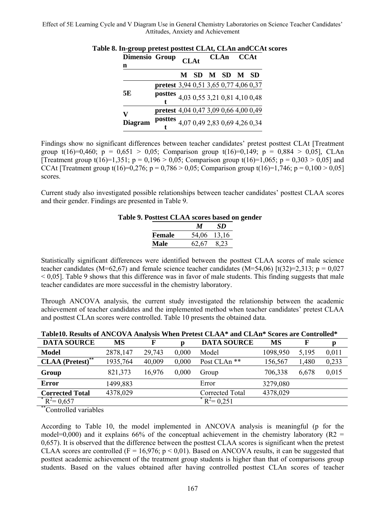| <b>Dimensio Group</b><br>n |                                       | <b>CLAt</b>                   |  | CLAn CCAt      |  |
|----------------------------|---------------------------------------|-------------------------------|--|----------------|--|
|                            |                                       |                               |  | M SD M SD M SD |  |
|                            | pretest 3,94 0,51 3,65 0,77 4,06 0,37 |                               |  |                |  |
| 5E                         | posttes 4,03 0,55 3,21 0,81 4,10 0,48 |                               |  |                |  |
| V                          | pretest 4,04 0,47 3,09 0,66 4,00 0,49 |                               |  |                |  |
| <b>Diagram</b>             | posttes                               | 4,07 0,49 2,83 0,69 4,26 0,34 |  |                |  |

# **Table 8. In-group pretest posttest CLAt, CLAn andCCAt scores**

Findings show no significant differences between teacher candidates' pretest posttest CLAt [Treatment group  $t(16)=0.460$ ;  $p = 0.651 > 0.05$ ; Comparison group  $t(16)=0.149$ ;  $p = 0.884 > 0.05$ ], CLAn [Treatment group t(16)=1,351; p = 0,196 > 0,05; Comparison group t(16)=1,065; p = 0,303 > 0,05] and CCAt [Treatment group t(16)=0,276;  $p = 0.786 > 0.05$ ; Comparison group t(16)=1,746;  $p = 0.100 > 0.05$ ] scores.

Current study also investigated possible relationships between teacher candidates' posttest CLAA scores and their gender. Findings are presented in Table 9.

#### **Table 9. Posttest CLAA scores based on gender**

|               | М     | SD.   |
|---------------|-------|-------|
| <b>Female</b> | 54,06 | 13,16 |
| Male          | 62,67 | 8.23  |

Statistically significant differences were identified between the posttest CLAA scores of male science teacher candidates (M=62,67) and female science teacher candidates (M=54,06) [t(32)=2,313; p = 0,027  $< 0.05$ ]. Table 9 shows that this difference was in favor of male students. This finding suggests that male teacher candidates are more successful in the chemistry laboratory.

Through ANCOVA analysis, the current study investigated the relationship between the academic achievement of teacher candidates and the implemented method when teacher candidates' pretest CLAA and posttest CLAn scores were controlled. Table 10 presents the obtained data.

| TableTu. Results of Afve O'VA Aliarysis When I Fetest CLAA "and CLAII" Scores are Controlled " |          |        |       |                         |          |       |       |  |
|------------------------------------------------------------------------------------------------|----------|--------|-------|-------------------------|----------|-------|-------|--|
| <b>DATA SOURCE</b>                                                                             | MS       |        |       | <b>DATA SOURCE</b>      | MS       |       |       |  |
| Model                                                                                          | 2878,147 | 29.743 | 0.000 | Model                   | 1098.950 | 5,195 | 0,011 |  |
| $* *$<br><b>CLAA</b> (Pretest) <sup>*</sup>                                                    | 1935,764 | 40,009 | 0.000 | Post CLAn <sup>**</sup> | 156,567  | 1.480 | 0,233 |  |
| Group                                                                                          | 821,373  | 16.976 | 0.000 | Group                   | 706.338  | 6.678 | 0,015 |  |
| <b>Error</b>                                                                                   | 1499,883 |        |       | Error                   | 3279,080 |       |       |  |
| <b>Corrected Total</b>                                                                         | 4378,029 |        |       | Corrected Total         | 4378,029 |       |       |  |
| $R^2 = 0.657$                                                                                  |          |        |       | $R^2 = 0.251$           |          |       |       |  |

**Table10. Results of ANCOVA Analysis When Pretest CLAA\* and CLAn\* Scores are Controlled\*** 

Controlled variables

According to Table 10, the model implemented in ANCOVA analysis is meaningful (p for the model=0,000) and it explains 66% of the conceptual achievement in the chemistry laboratory ( $R2 =$ 0,657). It is observed that the difference between the posttest CLAA scores is significant when the pretest CLAA scores are controlled ( $F = 16,976$ ;  $p < 0.01$ ). Based on ANCOVA results, it can be suggested that posttest academic achievement of the treatment group students is higher than that of comparisons group students. Based on the values obtained after having controlled posttest CLAn scores of teacher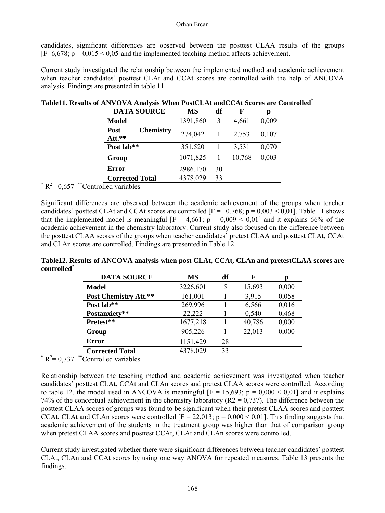candidates, significant differences are observed between the posttest CLAA results of the groups  $[F=6,678; p = 0.015 \le 0.05]$  and the implemented teaching method affects achievement.

Current study investigated the relationship between the implemented method and academic achievement when teacher candidates' posttest CLAt and CCAt scores are controlled with the help of ANCOVA analysis. Findings are presented in table 11.

|               | <b>DATA SOURCE</b>                 | MS       | df | F      | Ŋ     |
|---------------|------------------------------------|----------|----|--------|-------|
|               | <b>Model</b>                       | 1391,860 | 3  | 4,661  | 0,009 |
|               | <b>Chemistry</b><br>Post<br>Att.** | 274,042  |    | 2.753  | 0,107 |
|               | Post lab**                         | 351,520  |    | 3,531  | 0,070 |
|               | Group                              | 1071,825 |    | 10,768 | 0,003 |
|               | <b>Error</b>                       | 2986,170 | 30 |        |       |
|               | <b>Corrected Total</b>             | 4378,029 | 33 |        |       |
| $R^2 = 0,657$ | Controlled variables               |          |    |        |       |

# **Table11. Results of ANVOVA Analysis When PostCLAt andCCAt Scores are Controlled\***

Significant differences are observed between the academic achievement of the groups when teacher candidates' posttest CLAt and CCAt scores are controlled  $[F = 10,768; p = 0,003 \le 0,01]$ . Table 11 shows that the implemented model is meaningful  $[F = 4,661; p = 0,009 < 0,01]$  and it explains 66% of the academic achievement in the chemistry laboratory. Current study also focused on the difference between the posttest CLAA scores of the groups when teacher candidates' pretest CLAA and posttest CLAt, CCAt and CLAn scores are controlled. Findings are presented in Table 12.

**Table12. Results of ANCOVA analysis when post CLAt, CCAt, CLAn and pretestCLAA scores are controlled\***

| <b>DATA SOURCE</b>                          | MS       | df | F      |       |
|---------------------------------------------|----------|----|--------|-------|
| Model                                       | 3226,601 |    | 15,693 | 0,000 |
| Post Chemistry Att.**                       | 161,001  |    | 3,915  | 0,058 |
| Post lab**                                  | 269,996  |    | 6,566  | 0,016 |
| Postanxiety**                               | 22.222   |    | 0,540  | 0,468 |
| Pretest**                                   | 1677,218 |    | 40,786 | 0,000 |
| Group                                       | 905,226  |    | 22,013 | 0,000 |
| <b>Error</b>                                | 1151,429 | 28 |        |       |
| <b>Corrected Total</b>                      | 4378,029 | 33 |        |       |
| $R^2 = 0,737$<br>**<br>Controlled variables |          |    |        |       |

Relationship between the teaching method and academic achievement was investigated when teacher candidates' posttest CLAt, CCAt and CLAn scores and pretest CLAA scores were controlled. According to table 12, the model used in ANCOVA is meaningful  $[F = 15,693; p = 0,000 < 0.01]$  and it explains 74% of the conceptual achievement in the chemistry laboratory ( $R2 = 0.737$ ). The difference between the posttest CLAA scores of groups was found to be significant when their pretest CLAA scores and posttest CCAt, CLAt and CLAn scores were controlled  $[F = 22.013; p = 0.000 \le 0.01]$ . This finding suggests that academic achievement of the students in the treatment group was higher than that of comparison group when pretest CLAA scores and posttest CCAt, CLAt and CLAn scores were controlled.

Current study investigated whether there were significant differences between teacher candidates' posttest CLAt, CLAn and CCAt scores by using one way ANOVA for repeated measures. Table 13 presents the findings.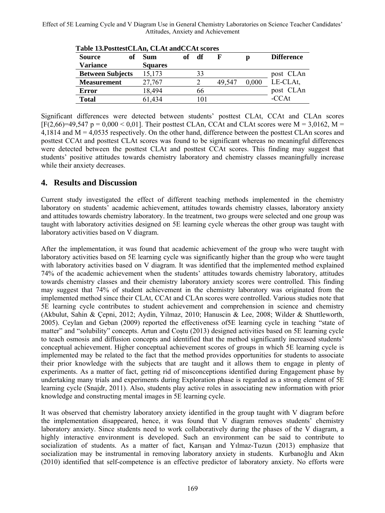| <b>Source</b>           | of | <b>Sum</b>     | оf | df  |        | D     | <b>Difference</b> |
|-------------------------|----|----------------|----|-----|--------|-------|-------------------|
| <b>Variance</b>         |    | <b>Squares</b> |    |     |        |       |                   |
| <b>Between Subjects</b> |    | 15.173         |    | 33  |        |       | post CLAn         |
| <b>Measurement</b>      |    | 27.767         |    |     | 49.547 | 0.000 | LE-CLAt.          |
| <b>Error</b>            |    | 18,494         |    | 66  |        |       | post CLAn         |
| <b>Total</b>            |    | 61.434         |    | 101 |        |       | $-CCAt$           |

Significant differences were detected between students' posttest CLAt, CCAt and CLAn scores  $[F(2,66)=49,547 \text{ p} = 0,000 < 0,01]$ . Their posttest CLAn, CCAt and CLAt scores were M = 3,0162, M = 4,1814 and M = 4,0535 respectively. On the other hand, difference between the posttest CLAn scores and posttest CCAt and posttest CLAt scores was found to be significant whereas no meaningful differences were detected between the posttest CLAt and posttest CCAt scores. This finding may suggest that students' positive attitudes towards chemistry laboratory and chemistry classes meaningfully increase while their anxiety decreases.

# **4. Results and Discussion**

Current study investigated the effect of different teaching methods implemented in the chemistry laboratory on students' academic achievement, attitudes towards chemistry classes, laboratory anxiety and attitudes towards chemistry laboratory. In the treatment, two groups were selected and one group was taught with laboratory activities designed on 5E learning cycle whereas the other group was taught with laboratory activities based on V diagram.

After the implementation, it was found that academic achievement of the group who were taught with laboratory activities based on 5E learning cycle was significantly higher than the group who were taught with laboratory activities based on V diagram. It was identified that the implemented method explained 74% of the academic achievement when the students' attitudes towards chemistry laboratory, attitudes towards chemistry classes and their chemistry laboratory anxiety scores were controlled. This finding may suggest that 74% of student achievement in the chemistry laboratory was originated from the implemented method since their CLAt, CCAt and CLAn scores were controlled. Various studies note that 5E learning cycle contributes to student achievement and comprehension in science and chemistry (Akbulut, Sahin & Çepni, 2012; Aydin, Yilmaz, 2010; Hanuscin & Lee, 2008; Wilder & Shuttleworth, 2005). Ceylan and Geban (2009) reported the effectiveness of5E learning cycle in teaching "state of matter" and "solubility" concepts. Artun and Coştu (2013) designed activities based on 5E learning cycle to teach osmosis and diffusion concepts and identified that the method significantly increased students' conceptual achievement. Higher conceptual achievement scores of groups in which 5E learning cycle is implemented may be related to the fact that the method provides opportunities for students to associate their prior knowledge with the subjects that are taught and it allows them to engage in plenty of experiments. As a matter of fact, getting rid of misconceptions identified during Engagement phase by undertaking many trials and experiments during Exploration phase is regarded as a strong element of 5E learning cycle (Snajdr, 2011). Also, students play active roles in associating new information with prior knowledge and constructing mental images in 5E learning cycle.

It was observed that chemistry laboratory anxiety identified in the group taught with V diagram before the implementation disappeared, hence, it was found that V diagram removes students' chemistry laboratory anxiety. Since students need to work collaboratively during the phases of the V diagram, a highly interactive environment is developed. Such an environment can be said to contribute to socialization of students. As a matter of fact, Karışan and Yılmaz-Tuzun (2013) emphasize that socialization may be instrumental in removing laboratory anxiety in students. Kurbanoğlu and Akın (2010) identified that self-competence is an effective predictor of laboratory anxiety. No efforts were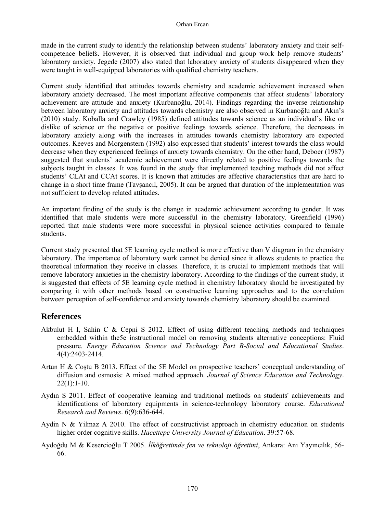made in the current study to identify the relationship between students' laboratory anxiety and their selfcompetence beliefs. However, it is observed that individual and group work help remove students' laboratory anxiety. Jegede (2007) also stated that laboratory anxiety of students disappeared when they were taught in well-equipped laboratories with qualified chemistry teachers.

Current study identified that attitudes towards chemistry and academic achievement increased when laboratory anxiety decreased. The most important affective components that affect students' laboratory achievement are attitude and anxiety (Kurbanoğlu, 2014). Findings regarding the inverse relationship between laboratory anxiety and attitudes towards chemistry are also observed in Kurbanoğlu and Akın's (2010) study. Koballa and Crawley (1985) defined attitudes towards science as an individual's like or dislike of science or the negative or positive feelings towards science. Therefore, the decreases in laboratory anxiety along with the increases in attitudes towards chemistry laboratory are expected outcomes. Keeves and Morgenstern (1992) also expressed that students' interest towards the class would decrease when they experienced feelings of anxiety towards chemistry. On the other hand, Deboer (1987) suggested that students' academic achievement were directly related to positive feelings towards the subjects taught in classes. It was found in the study that implemented teaching methods did not affect students' CLAt and CCAt scores. It is known that attitudes are affective characteristics that are hard to change in a short time frame (Tavşancıl, 2005). It can be argued that duration of the implementation was not sufficient to develop related attitudes.

An important finding of the study is the change in academic achievement according to gender. It was identified that male students were more successful in the chemistry laboratory. Greenfield (1996) reported that male students were more successful in physical science activities compared to female students.

Current study presented that 5E learning cycle method is more effective than V diagram in the chemistry laboratory. The importance of laboratory work cannot be denied since it allows students to practice the theoretical information they receive in classes. Therefore, it is crucial to implement methods that will remove laboratory anxieties in the chemistry laboratory. According to the findings of the current study, it is suggested that effects of 5E learning cycle method in chemistry laboratory should be investigated by comparing it with other methods based on constructive learning approaches and to the correlation between perception of self-confidence and anxiety towards chemistry laboratory should be examined.

# **References**

- Akbulut H I, Sahin C & Cepni S 2012. Effect of using different teaching methods and techniques embedded within the5e instructional model on removing students alternative conceptions: Fluid pressure. *Energy Education Science and Technology Part B-Social and Educational Studies*. 4(4):2403-2414.
- Artun H & Coştu B 2013. Effect of the 5E Model on prospective teachers' conceptual understanding of diffusion and osmosis: A mixed method approach. *Journal of Science Education and Technology*.  $22(1):1-10.$
- Aydın S 2011. Effect of cooperative learning and traditional methods on students' achievements and identifications of laboratory equipments in science-technology laboratory course. *Educational Research and Reviews*. 6(9):636-644.
- Aydin N & Yilmaz A 2010. The effect of constructivist approach in chemistry education on students higher order cognitive skills. *Hacettepe Unıversity Journal of Education*. 39:57-68.
- Aydoğdu M & Kesercioğlu T 2005. *İlköğretimde fen ve teknoloji öğretimi*, Ankara: Anı Yayıncılık, 56- 66.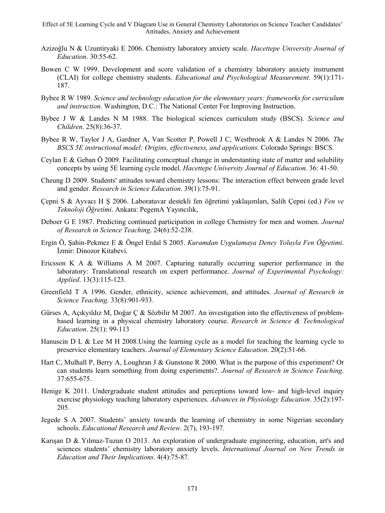- Azizoğlu N & Uzuntiryaki E 2006. Chemistry laboratory anxiety scale. *Hacettepe Unıversity Journal of Education*. 30:55-62.
- Bowen C W 1999. Development and score validation of a chemistry laboratory anxiety instrument (CLAI) for college chemistry students. *Educational and Psychological Measurement*. 59(1):171- 187.
- Bybee R W 1989. *Science and technology education for the elementary years: frameworks for curriculum and instruction*. Washington, D.C.: The National Center For Improving Instruction.
- Bybee J W & Landes N M 1988. The biological sciences curriculum study (BSCS). *Science and Children*. 25(8):36-37.
- Bybee R W, Taylor J A, Gardner A, Van Scotter P, Powell J C, Westbrook A & Landes N 2006. *The BSCS 5E instructional model: Origins, effectiveness, and applications*. Colorado Springs: BSCS.
- Ceylan E & Geban Ö 2009. Facilitating comceptual change in understanting state of matter and solubility concepts by using 5E learning cycle model. *Hacettepe University Journal of Education*. 36: 41-50.
- Cheung D 2009. Students' attitudes toward chemistry lessons: The interaction effect between grade level and gender. *Research in Science Education*. 39(1):75-91.
- Çepni S & Ayvacı H Ş 2006. Laboratuvar destekli fen öğretimi yaklaşımları, Salih Çepni (ed.) *Fen ve Teknoloji Öğretimi*. Ankara: PegemA Yayıncılık,
- Deboer G E 1987. Predicting continued participation in college Chemistry for men and women. *Journal of Research in Science Teaching*. 24(6):52-238.
- Ergin Ö, Şahin-Pekmez E & Öngel Erdal S 2005. *Kuramdan Uygulamaya Deney Yoluyla Fen Öğretimi*. İzmir: Dinozor Kitabevi.
- Ericsson K A & Williams A M 2007. Capturing naturally occurring superior performance in the laboratory: Translational research on expert performance. *Journal of Experimental Psychology: Applied*. 13(3):115-123.
- Greenfield T A 1996. Gender, ethnicity, science achievement, and attitudes. *Journal of Research in Science Teaching*. 33(8):901-933.
- Gürses A, Açıkyıldız M, Doğar Ç & Sözbilir M 2007. An investigation into the effectiveness of problembased learning in a physical chemistry laboratory course. *Research in Science & Technological Education*. 25(1): 99-113
- Hanuscin D L & Lee M H 2008.Using the learning cycle as a model for teaching the learning cycle to preservice elementary teachers. *Journal of Elementary Science Education*. 20(2):51-66.
- Hart C, Mulhall P, Berry A, Loughran J & Gunstone R 2000. What is the purpose of this experiment? Or can students learn something from doing experiments?. *Journal of Research in Science Teaching*. 37:655-675.
- Henige K 2011. Undergraduate student attitudes and perceptions toward low- and high-level inquiry exercise physiology teaching laboratory experiences. *Advances in Physiology Education*. 35(2):197- 205.
- Jegede S A 2007. Students' anxiety towards the learning of chemistry in some Nigerian secondary schools. *Educational Research and Review*. 2(7), 193-197.
- Karışan D & Yılmaz-Tuzun O 2013. An exploration of undergraduate engineering, education, art's and sciences students' chemistry laboratory anxiety levels. *International Journal on New Trends in Education and Their Implications*. 4(4):75-87.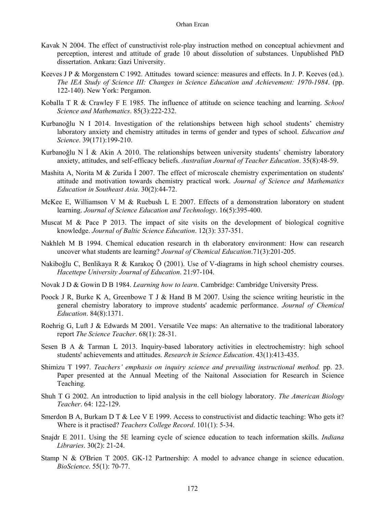- Kavak N 2004. The effect of cunstructivist role-play instruction method on conceptual achievment and perception, interest and attitude of grade 10 about dissolution of substances. Unpublished PhD dissertation. Ankara: Gazi University.
- Keeves J P & Morgenstern C 1992. Attitudes toward science: measures and effects. In J. P. Keeves (ed.). *The IEA Study of Science III: Changes in Science Education and Achievement: 1970-1984*. (pp. 122-140). New York: Pergamon.
- Koballa T R & Crawley F E 1985. The influence of attitude on science teaching and learning. *School Science and Mathematics*. 85(3):222-232.
- Kurbanoğlu N I 2014. Investigation of the relationships between high school students' chemistry laboratory anxiety and chemistry attitudes in terms of gender and types of school. *Education and Science*. 39(171):199-210.
- Kurbanoğlu N İ & Akin A 2010. The relationships between university students' chemistry laboratory anxiety, attitudes, and self-efficacy beliefs. *Australian Journal of Teacher Education*. 35(8):48-59.
- Mashita A, Norita M & Zurida I 2007. The effect of microscale chemistry experimentation on students' attitude and motivation towards chemistry practical work. *Journal of Science and Mathematics Education in Southeast Asia*. 30(2):44-72.
- McKee E, Williamson V M & Ruebush L E 2007. Effects of a demonstration laboratory on student learning. *Journal of Science Education and Technology*. 16(5):395-400.
- Muscat M & Pace P 2013. The impact of site visits on the development of biological cognitive knowledge. *Journal of Baltic Science Education*. 12(3): 337-351.
- Nakhleh M B 1994. Chemical education research in th elaboratory environment: How can research uncover what students are learning? *Journal of Chemical Education*.71(3):201-205.
- Nakiboğlu C, Benlikaya R & Karakoç Ö (2001). Use of V-diagrams in high school chemistry courses. *Hacettepe University Journal of Education*. 21:97-104.
- Novak J D & Gowin D B 1984. *Learning how to learn*. Cambridge: Cambridge University Press.
- Poock J R, Burke K A, Greenbowe T J & Hand B M 2007. Using the science writing heuristic in the general chemistry laboratory to improve students' academic performance. *Journal of Chemical Education*. 84(8):1371.
- Roehrig G, Luft J & Edwards M 2001. Versatile Vee maps: An alternative to the traditional laboratory report *The Science Teacher*. 68(1): 28-31.
- Sesen B A & Tarman L 2013. Inquiry-based laboratory activities in electrochemistry: high school students' achievements and attitudes. *Research in Science Education*. 43(1):413-435.
- Shimizu T 1997. *Teachers' emphasis on inquiry science and prevailing instructional method.* pp. 23. Paper presented at the Annual Meeting of the Naitonal Association for Research in Science Teaching.
- Shuh T G 2002. An introduction to lipid analysis in the cell biology laboratory. *The American Biology Teacher*. 64: 122-129.
- Smerdon B A, Burkam D T & Lee V E 1999. Access to constructivist and didactic teaching: Who gets it? Where is it practised? *Teachers College Record*. 101(1): 5-34.
- Snajdr E 2011. Using the 5E learning cycle of science education to teach information skills. *Indiana Libraries*. 30(2): 21-24.
- Stamp N & O'Brien T 2005. GK-12 Partnership: A model to advance change in science education. *BioScience*. 55(1): 70-77.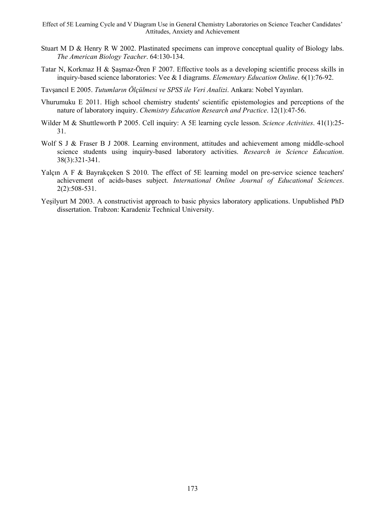- Stuart M D & Henry R W 2002. Plastinated specimens can improve conceptual quality of Biology labs. *The American Biology Teacher*. 64:130-134.
- Tatar N, Korkmaz H & Şaşmaz-Ören F 2007. Effective tools as a developing scientific process skills in inquiry-based science laboratories: Vee & I diagrams. *Elementary Education Online*. 6(1):76-92.
- Tavşancıl E 2005. *Tutumların Ölçülmesi ve SPSS ile Veri Analizi*. Ankara: Nobel Yayınları.
- Vhurumuku E 2011. High school chemistry students' scientific epistemologies and perceptions of the nature of laboratory inquiry. *Chemistry Education Research and Practice*. 12(1):47-56.
- Wilder M & Shuttleworth P 2005. Cell inquiry: A 5E learning cycle lesson. *Science Activities*. 41(1):25- 31.
- Wolf S J & Fraser B J 2008. Learning environment, attitudes and achievement among middle-school science students using inquiry-based laboratory activities. *Research in Science Education*. 38(3):321-341.
- Yalçın A F & Bayrakçeken S 2010. The effect of 5E learning model on pre-service science teachers' achievement of acids-bases subject. *International Online Journal of Educational Sciences*. 2(2):508-531.
- Yeşilyurt M 2003. A constructivist approach to basic physics laboratory applications. Unpublished PhD dissertation. Trabzon: Karadeniz Technical University.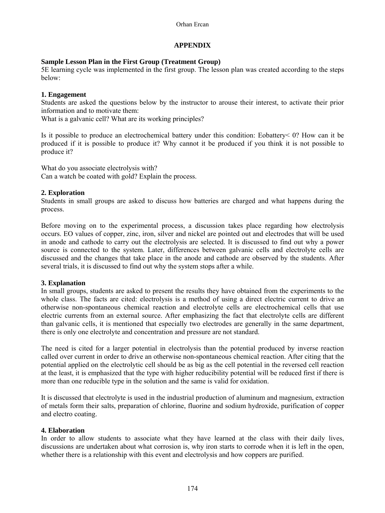# **APPENDIX**

## **Sample Lesson Plan in the First Group (Treatment Group)**

5E learning cycle was implemented in the first group. The lesson plan was created according to the steps below:

## **1. Engagement**

Students are asked the questions below by the instructor to arouse their interest, to activate their prior information and to motivate them:

What is a galvanic cell? What are its working principles?

Is it possible to produce an electrochemical battery under this condition: Eobattery< 0? How can it be produced if it is possible to produce it? Why cannot it be produced if you think it is not possible to produce it?

What do you associate electrolysis with? Can a watch be coated with gold? Explain the process.

## **2. Exploration**

Students in small groups are asked to discuss how batteries are charged and what happens during the process.

Before moving on to the experimental process, a discussion takes place regarding how electrolysis occurs. EO values of copper, zinc, iron, silver and nickel are pointed out and electrodes that will be used in anode and cathode to carry out the electrolysis are selected. It is discussed to find out why a power source is connected to the system. Later, differences between galvanic cells and electrolyte cells are discussed and the changes that take place in the anode and cathode are observed by the students. After several trials, it is discussed to find out why the system stops after a while.

## **3. Explanation**

In small groups, students are asked to present the results they have obtained from the experiments to the whole class. The facts are cited: electrolysis is a method of using a direct electric current to drive an otherwise non-spontaneous chemical reaction and electrolyte cells are electrochemical cells that use electric currents from an external source. After emphasizing the fact that electrolyte cells are different than galvanic cells, it is mentioned that especially two electrodes are generally in the same department, there is only one electrolyte and concentration and pressure are not standard.

The need is cited for a larger potential in electrolysis than the potential produced by inverse reaction called over current in order to drive an otherwise non-spontaneous chemical reaction. After citing that the potential applied on the electrolytic cell should be as big as the cell potential in the reversed cell reaction at the least, it is emphasized that the type with higher reducibility potential will be reduced first if there is more than one reducible type in the solution and the same is valid for oxidation.

It is discussed that electrolyte is used in the industrial production of aluminum and magnesium, extraction of metals form their salts, preparation of chlorine, fluorine and sodium hydroxide, purification of copper and electro coating.

## **4. Elaboration**

In order to allow students to associate what they have learned at the class with their daily lives, discussions are undertaken about what corrosion is, why iron starts to corrode when it is left in the open, whether there is a relationship with this event and electrolysis and how coppers are purified.